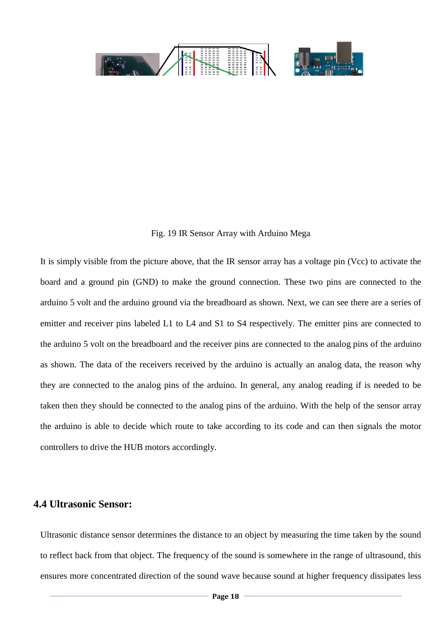### **An autonomous robot for waiter service**

### **in restaurants**

### **Department of Electrical and Electronic Engineering**



**BRAC University, Dhaka, Bangladesh**

**SPRING 2015**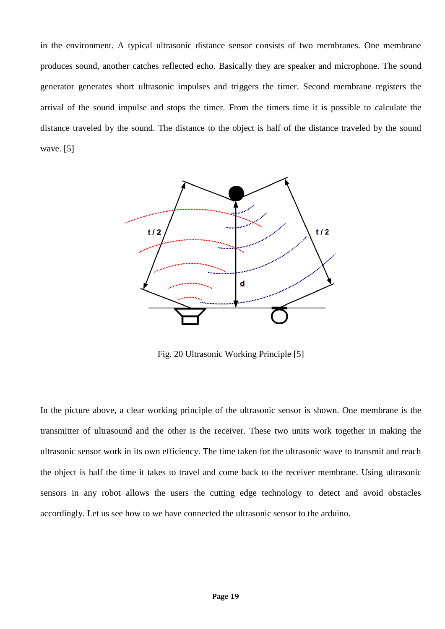# **Declaration**

We hereby declare that the Thesis Title "An autonomous robot for waiter service in restaurants" is submitted to the Department of Electrical and Electronic Engineering of BRAC University in partial fulfillment of the Bachelor of Science in Electrical and Electronic Engineering. This is our original work and was not submitted elsewhere for the award of any other degree or any other publication.

Date:

Dr. Md. Khalilur Rahman

Associate Professor

Thesis Supervisor

Mohd. Abdullah Omair

Al – Shahriar Hossain Rakib

Md. Amir Khan

Rubaiyat Talat Mahmud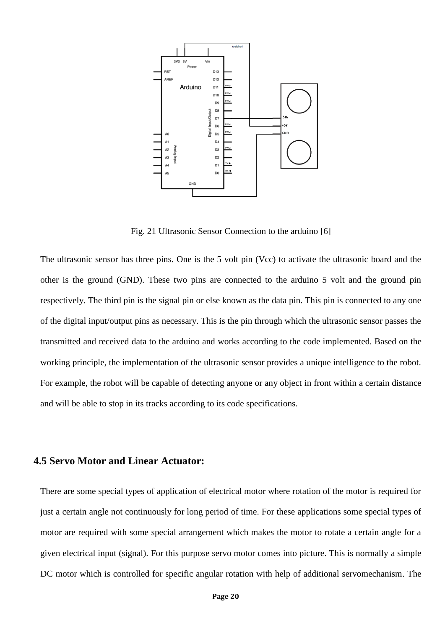# **Acknowledgement**

We would like to take this opportunity to express our deepest gratitude and appreciation to BRAC University for their support with which we were able to complete this Thesis project. The skills and ideas we have been able to learn from our Thesis work have benefited us immensely and will continue to do so throughout our future endeavors.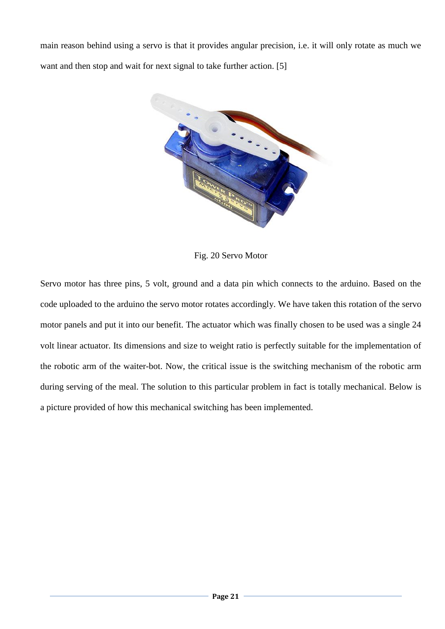## **Abstract**

The Waiter-Bot is an exceptional autonomous robot which has the ability to follow a designated path like a pathfinder with the help of IR sensor arrays and reach its intended destination. It is an arduino based robotic design implemented to seek out and detect its required destination and perform its deliberate tasks with precision and accuracy. The Waiter-Bot consists of simple mechanical design which has simple mechanism with which performing the necessary tasks becomes easier. Due to its design parameters, it also requires less power and draws less current which allows us to work with the robot safely. Moreover, it also adds to the safety to its environment and the people around it. Its light weight build up allows us to assemble the parts without having the difficulty to carry it anywhere. Once assembled, the entire robot still remains light in its weight and can easily be moved around if necessary. Based on its complete set-up and overall parameters, the waiter-bot stands out on its own to become an important aspect to the solution of this thesis project.